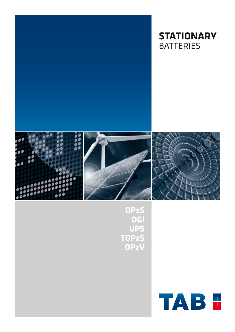





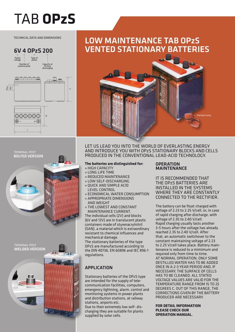# TAB **OPzS**

TECHNICAL DATA AND DIMENSIONS

## 6V 4 OpzS 200



## Low maintenance TAB OPzS vented stationary batteries



terminal post bolted version terminal post welded version Let us lead you into the world of everlasting energy and introduce you with OPzS stationary blocks and cells produced in the conventional lead-acid technology.

## **The batteries are distinguished for:**

- » high capacity
- » long life time
- » reduced maintenance
- » low self-discharging
- » quick and simple acid level control
- » economical water consumption
- » appropriate dimensions
- and weight » the lowest and constant maintenance current.

The individual cells (2V) and blocks (6V and 12V) are in translucent plastic containers made of styrenacrylnitril (SAN), a material which is extraordinary resistant to chemical influences and mechanical damage.

The stationary batteries of the type OPzS are manufactured according to the DIN 40736, EN 60896 and IEC 896-1 regulations.

## **APPLICATION**

Stationary batteries of the OPzS type are intended for the supply of telecommunication facilities, computers, emergency lightning, alarm, control and monitoring systems in power plants and distribution stations, at railway stations, airports etc.

Due to their extremely low self- discharging they are suitable for plants supplied by solar cells.

## **OPERATION** maintenance

It is recommended that THE OP<sub>7</sub>S BATTERIES ARE installed in the systems WHERE THEY ARE CONSTANTLY connected to the rectifier.

The battery can be float-charged with voltage of 2.23 to 2.25 V/cell, or, in case of rapid charging after discharge, with voltage of 2.35 to 2.40 V/cell. Rapid charging usually lasts another 3-5 hours after the voltage has already reached 2.35 to 2.40 V/cell. After that, an automatic switchover to the constant maintaining voltage of 2.23 to 2.25 V/cell takes place. Battery maintenance is reduced to a mimimum and required only from time to time. At normal operation, only some destilled water has to be added once in a 2-3 year period and, if necessary, the surface of cells has to be cleaned. All stated voltage values are valid for the temperature range from 15 to 25 degrees C. Out of this range, the corrections given by the battery producer are necessary.

**For detail information please check our operation manual**.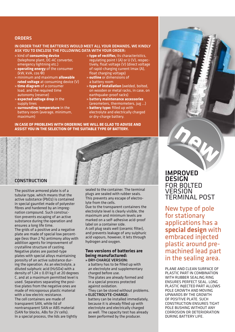## **ORDERS**

#### In order that the batteries would meet all your demands, we kindly ask you to enclose the following data with your order:

- » kind of **consuming device** (telephone plant, DC-AC converter, emergency lightning etc.)
- » **operating energy** of the consumer (kW, kVA, cos Φ)
- » minimum and maximum **allowable rated voltage** at consuming device (V)
- » **time diagram** of a consumer load, and the required time autonomy (reserve)
- » **expected voltage drop** in the supply lines
- » **surrounding temperature** in the battery room (average, minimum, maximum)
- » **type of rectifier,** its characteristics, regulating point I (A) or U (V), respectively, float voltage (V) (direct voltage of rapid-charging current Imax (A), float charging voltage)
- » **outline** or dimensions of a battery room
- » **type of installation** (welded, bolted, on wooden or metal racks, in case, on earthquake-proof racks)
- » battery **maintenance accessories** (areometers, thermometers, jug ...)
- » **battery type:** filled up with electrolyte and electrically charged or dry-charge battery.

#### **In case of problems with ordering we will be glad to advise and assist you in the selection of the suitable type of battery.**

## **CONSTRUCTION**

The positive armored plate is of a tubular type, which means that the active substance (PbO2) is contained in special gauntlet made of polyester fibres and hardened by an impregnation compound. Such construction prevents escaping of an active substance during the operation and ensures a long life time.

The grids of a positive and a negative plate are made of special low percentage (less than 2 %) antimony alloy with addition agents for improvement of crystalline structure of casting. Negative plates are pasted-type plates with special alloys maintaining porosity of an active substance during the operation. As an electrolyte, a diluted sulphuric acid (H2SO4) with a density of 1.24  $\pm$  0.01 kg/l at 20 degrees C, and at a maximum permitted level is used. Separators separating the positive plates from the negative ones are made of microporous plastic material with a low electric resistance. The cell containers are made of transparent SAN, while lid of nontransparent SAN or ABS material (SAN for blocks, ABs for 2V cells). In a special process, the lids are tightly

sealed to the container. The terminal plugs are sealed with rubber seals. This prevents any escape of electrolyte from the cells.

Due to the transparent containers the electrolyte level is clearly visible, the maximum and minimum levels are marked on a self-adhesive acid-proof label on a container side.

A cell plug seals well (ceramic filter), and prevents leakage of any sulphuric acid vapours, however, it lets through hydrogen and oxygen.

## **Two versions of batteries are being manufactured:**

- » Dry-charge version: a battery has to be filled up with an electrolyte and supplementary charged before use. The plates are already formed and in a special process protected against oxidation.
- They can be stored without problems. » Electrolyte-charge:
- battery can be installed immediately, because it is already filled up with electrolyte and electrically charged as well. The capacity test has already been performed by the producer.

## **IMPROVED DESIGN** for bolted **VERSION** terminal post

New type of pole for stationary applications has a special design with embraced injected plastic around premachined lead part in the sealing area.

Plane and clean surface of plastic part in combination with rubber sealing ring ensures perfect seal. Long plastic injected part allows pole growth and moving upwards by the growth of positive plate. Such construction ensures tight pole bushing without any corrosion or deterioration during battery life.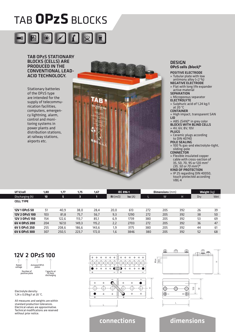## tab **OPzS** BLOCKS



## TAB OPzS stationary blocks (cells) are produced in the conventional leadacid technology.

Stationary batteries of the OPzS type are intended for the supply of telecommunication facilities, computers, emergency lightning, alarm, control and monitoring systems in power plants and distribution stations, at railway stations, airports etc.



#### **DESIGN OPzS cells (block)\***

positive electrode » Tubular plate with low antimony alloy  $(< 2 %)$ NEGATIVE ELECTRODE » Flat with long life expander active material **SEPARATION** » Microporous separator

- **ELECTROLYTE**
- » Sulphuric acid of 1,24 kg/l at 20 °C
- **CONTAINER**

» High impact, transparent SAN lid

» ABS (SAN)\* in grey color **BLOCKS WITH BLIND CEL** 

» 4V, 6V, 8V, 10V

plugs

» Ceramic plugs according to DIN 40740 pole sealing

» 100 % gas-and electrolyte-tight, sliding-pole

**CONNECTOR** 

» Flexible insulated copper cable with cross-section of 35, 50, 70, 95 or 120 mm<sup>2</sup> (35, 50 or 70 mm2)\*

kind of protection

» IP 25 regarding DIN 40050, touch protected according VBG 4

| Uf V/cell        | 1,80            | 1,77  | 1,75  | 1,67  | <b>IEC 896-1</b>             |                   |     | <b>Dimensions</b> (mm) | Weight (kg) |     |     |
|------------------|-----------------|-------|-------|-------|------------------------------|-------------------|-----|------------------------|-------------|-----|-----|
| Discharging (h)  | 10              | 5     | 3     | ነገ    | $\mathbf{R}$ I (m $\Omega$ ) | $\mathsf{Isc}(A)$ |     | W                      | H           | Dry | Wet |
| <b>CELL TYPE</b> |                 |       |       |       |                              |                   |     |                        |             |     |     |
| 12V 1 0 Pz S 50  | 51              | 40.9  | 38.0  | 28.4  | 20.0                         | 613               | 272 | 205                    | 392         | 26  | 39  |
| 12V 2 OPzS 100   | 10 <sub>3</sub> | 81,8  | 75,7  | 56,7  | 9,3                          | 1290              | 272 | 205                    | 392         | 38  | 50  |
| 12V 3 OPzS 150   | 154             | 122.6 | 113,7 | 85,1  | 6,9                          | 1739              | 380 | 205                    | 392         | 53  | 69  |
| 6V 4 OPzS 200    | 204             | 167,0 | 149,3 | 115,2 | 2,2                          | 2703              | 272 | 205                    | 392         | 36  | 47  |
| 6V 5 OPzS 250    | 255             | 208.6 | 186.6 | 143.6 | 1,9                          | 3175              | 380 | 205                    | 392         | 44  | 61  |
| 6V 6 OPzS 300    | 307             | 250,5 | 223,7 | 172.0 | 1,6                          | 3846              | 380 | 205                    | 392         | 52  | 68  |

## 12V 2 OPzS 100



Electrolyte density: 1,24 ± 0,01kg/l at 20 °C.

All measures and weights are within standard production tolerances. Electrical values are approximative. Technical modifications are reserved without prior notice.

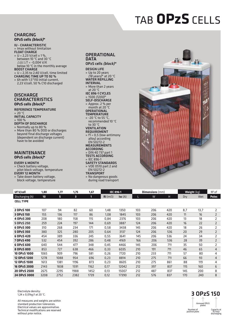## tab **OPzS** cells

#### **CHARGING OPzS cells (block)\***

IU - characteristic » Imax without limitation **FLOAT CHARGE** »  $U = 2.23$  V/cell  $\pm$  1%. between 10 °C and 30 °C  $\triangle$ U/ $\triangle$ T = -0,004 V/K below 10 °C in the monthly average boost charge » U = 2,35 to 2,40 V/cell, time limited charging time up to 92 % » 6h with 1,5\*I10 initial current,

2,23 V/cell, 50 % C10 discharged

#### **DISCHARGE CHARACTERISTICS OPzS cells (block)\***

reference temperature

» 20 °C

initial capacity » 100 %

- 
- depth of discharge » Normally up to 80 %
- » More than 80 % DOD or discharges beyond final discharge voltages (dependent on discharge current) have to be avoided

#### **MAINTENANCE OPzS cells (block)\***

#### every 6 month

- » Check battery voltage, pilot block voltage, temperature EVERY 12 MONTH
- » Take down battery voltage,
- block voltage, temperature

## **OPERATIONAL DATA**

OPzS cells (block)\* design life » Up to 20 years (18 years)\* at 20 °C WATER REFILLING interval » More than 2 years at 20 °C IEC 896-1 cycles » 1500 (1200)\* self-discharge » Approx. 2 % per month at 20 °C **OPERATIONAL TEMPERATURE** » -20 °C to 55 °C, recommended 10 °C to 30 °C **VENTILATION REQUIREMENT** »  $f1 = 0.5$  (low-antimony alloy) according EN 50272-2 **MEASUREMENTS** according » DIN 40 737 part 1 tests according » IEC 896-1<br>**SAFETY STANDARDS SAFETY STANDARDS** » VDE 0510 part 2 and EN 50272-2 **TRANSPORT** 

» No dangerous goods during road transport



| Uf V/cell        | 1,80 | 1,77 | 1,75 | 1,67         | <b>IEC 896-1</b>             |           |                 | <b>Dimensions</b> (mm) |     |     | <b>Weight</b> (kg) |                |  |
|------------------|------|------|------|--------------|------------------------------|-----------|-----------------|------------------------|-----|-----|--------------------|----------------|--|
| Discharging (h)  | 10   | 5    | 3    | $\mathbf{1}$ | $\mathbf{R}$ i (m $\Omega$ ) | $Isc (A)$ |                 | W                      | H   | Dry | Wet                | <b>Poles</b>   |  |
| <b>CELL TYPE</b> |      |      |      |              |                              |           |                 |                        |     |     |                    |                |  |
| 20PzS 100        | 107  | 94   | 82   | 60           | 1,48                         | 1350      | 10 <sub>3</sub> | 206                    | 420 | 8,7 | 13,7               | 2              |  |
| 3 OPzS 150       | 155  | 136  | 117  | 86           | 1,08                         | 1845      | 103             | 206                    | 420 | 11  | 16                 | $\overline{2}$ |  |
| 4 OPzS 200       | 208  | 180  | 158  | 115          | 0,84                         | 2376      | 10 <sub>3</sub> | 206                    | 420 | 13  | 18                 | $\overline{2}$ |  |
| 5 OPzS 250       | 259  | 224  | 197  | 144          | 0,69                         | 3887      | 124             | 206                    | 420 | 16  | 22                 | $\overline{2}$ |  |
| 6 OPzS 300       | 310  | 268  | 234  | 171          | 0,58                         | 3438      | 145             | 206                    | 420 | 18  | 26                 | 2              |  |
| 5 OPzS 350       | 380  | 325  | 280  | 205          | 0,64                         | 3137      | 124             | 206                    | 536 | 20  | 29                 | $\overline{2}$ |  |
| 6 OPzS 420       | 454  | 389  | 336  | 245          | 0,55                         | 3641      | 145             | 206                    | 536 | 24  | 34                 | 2              |  |
| 7 OPzS 490       | 532  | 454  | 392  | 286          | 0,48                         | 4169      | 166             | 206                    | 536 | 28  | 39                 | $\overline{2}$ |  |
| 6 OPzS 600       | 640  | 544  | 477  | 348          | 0,45                         | 4466      | 145             | 206                    | 711 | 35  | 50                 | 2              |  |
| 8 OPzS 800       | 853  | 727  | 638  | 466          | 0,33                         | 6035      | 210             | 191                    | 711 | 46  | 65                 | $\overline{4}$ |  |
| 10 OPzS 1000     | 1065 | 909  | 796  | 581          | 0,26                         | 7720      | 210             | 233                    | 711 | 57  | 80                 | 4              |  |
| 12 OPzS 1200     | 1278 | 1088 | 954  | 696          | 0,23                         | 8814      | 210             | 275                    | 711 | 66  | 93                 | $\overline{4}$ |  |
| 12 OPzS 1500     | 1613 | 1381 | 1196 | 873          | 0,23                         | 8605      | 210             | 275                    | 861 | 88  | 119                | 4              |  |
| 16 OPzS 2000     | 2143 | 1838 | 1591 | 1162         | 0,17                         | 12042     | 212             | 397                    | 837 | 115 | 160                | 6              |  |
| 20 OPzS 2500     | 2675 | 2295 | 1988 | 1452         | 0,13                         | 15007     | 212             | 487                    | 837 | 145 | 200                | 8              |  |
| 24 OPzS 3000     | 3208 | 2752 | 2382 | 1739         | 0,12                         | 17390     | 212             | 576                    | 837 | 170 | 240                | 8              |  |

Electrolyte density: 1,24 ± 0,01kg/l at 20 °C.

All measures and weights are within standard production tolerances. Electrical values are approximative. Technical modifications are reserved without prior notice.

## 3 OPzS 150  $\uparrow$ Armored OPzS plates Number of positive plate Capacity at 10-hour discharging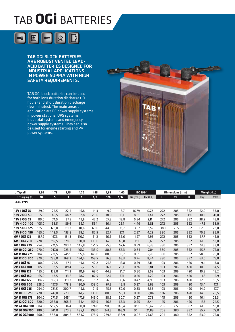# tab **OGi** Batteries



TAB OGi block batteries are robust vented leadacid batteries designed for industrial applications in power supply with high safety requirements.

TAB OGi block batteries can be used for both long duration discharge (10 hours) and short duration discharge (few minutes). The main areas of application are DC power supply systems in power stations, UPS systems, industrial systems and emergency power supply systems. They can also be used for engine starting and PV power systems.



| Uf V/cell            | 1,80            | 1,75  | 1,75  | 1,70         | 1,65  | 1,65  | 1,60  | <b>IEC 896-1</b>         |          |                 | Dimensions (mm) |     | Weight (kg) |      |
|----------------------|-----------------|-------|-------|--------------|-------|-------|-------|--------------------------|----------|-----------------|-----------------|-----|-------------|------|
| Discharging (h)      | 10 <sub>1</sub> | 5     | 3     | $\mathbf{1}$ | 1/2   | 1/6   | 1/12  | $\mathsf{Ri}\ (m\Omega)$ | Isc (kA) |                 | W               | H   | Dry         | Wet  |
| <b>CELL TYPE</b>     |                 |       |       |              |       |       |       |                          |          |                 |                 |     |             |      |
|                      |                 |       |       |              |       |       |       |                          |          |                 |                 |     |             |      |
| 12V 10Gi 25          | 29,0            | 25,5  | 22,5  | 16,8         | 14,3  | 9,2   | 6,7   | 16,79                    | 0,72     | 272             | 205             | 392 | 22,0        | 33,0 |
| 12V 2 OGi 50         | 55,0            | 49,5  | 44,7  | 32,8         | 28,0  | 18,0  | 13,1  | 8,81                     | 1,41     | 272             | 205             | 392 | 30,1        | 41,0 |
| 12V 3 OGi 75         | 80.0            | 74,5  | 67,5  | 49,6         | 42,2  | 27,3  | 19,8  | 5,94                     | 2,11     | 272             | 205             | 392 | 38,2        | 49,0 |
| 12V 4 OGi 100        | 105,0           | 98,5  | 89,4  | 65,7         | 56,1  | 36,1  | 26,1  | 4,46                     | 2,81     | 272             | 205             | 392 | 47,3        | 58,0 |
| 12V 5 OGi 125        | 135,0           | 123,0 | 111,3 | 81,6         | 69,0  | 44,3  | 31,7  | 3,57                     | 3,52     | 380             | 205             | 392 | 62,3        | 78,0 |
| 12V 6 OGi 150        | 165,0           | 148,5 | 133,8 | 98,2         | 82,5  | 52,7  | 37,1  | 2,97                     | 4,22     | 380             | 205             | 392 | 70,5        | 86,0 |
| 6V 7 OGi 175         | 187,2           | 167,3 | 151,3 | 110,7        | 91,2  | 56,9  | 39,6  | 1,27                     | 4,93     | 272             | 205             | 392 | 37,7        | 49,0 |
| 6V 8 OGi 200         | 228,0           | 197,5 | 178,8 | 130,0        | 108,0 | 67,3  | 46,8  | 1,11                     | 5,63     | 272             | 205             | 392 | 41,9        | 53,0 |
| 6V 9 OGi 225         | 254.0           | 221,5 | 200.7 | 145,8        | 121,5 | 75,5  | 52,6  | 0,99                     | 6,36     | 380             | 205             | 392 | 51,6        | 68,0 |
| 6V 10 OGi 250        | 270,0           | 247,0 | 223,5 | 161,7        | 133,0 | 80,5  | 55,3  | 0,89                     | 7,04     | 380             | 205             | 392 | 55,7        | 72,0 |
| 6V 11 OGi 275        | 304,0           | 271,5 | 245,1 | 177,6        | 146,0 | 88,5  | 60,7  | 0,81                     | 7,78     | 380             | 205             | 392 | 58,8        | 75,0 |
| 6V 12 OGi 300        | 320,0           | 296,0 | 268,2 | 194,4        | 159,5 | 96,5  | 66,3  | 0,74                     | 8,44     | 380             | 205             | 392 | 63,0        | 79,0 |
| 2V 3 OGi 75          | 80.0            | 74,5  | 67,5  | 49,6         | 42,2  | 27,3  | 19,8  | 0,99                     | 2,11     | 10 <sub>3</sub> | 206             | 420 | 9,1         | 13,8 |
| <b>2V 4 OGi 100</b>  | 105,0           | 98,5  | 89,4  | 65,7         | 56,1  | 36,1  | 26,1  | 0,74                     | 2,81     | 10 <sub>3</sub> | 206             | 420 | 10,0        | 14,5 |
| 2V 5 OGi 125         | 135,0           | 123,0 | 111,3 | 81,6         | 69,0  | 44,3  | 31,7  | 0,60                     | 3,52     | 103             | 206             | 420 | 10,9        | 15,2 |
| <b>2V 6 OGi 150</b>  | 165,0           | 148,5 | 133,8 | 98,2         | 82,5  | 52,7  | 37,1  | 0,50                     | 4,22     | 103             | 206             | 420 | 11,8        | 15,9 |
| 2V 7 OGi 175         | 187,2           | 167,3 | 151,3 | 110,7        | 91,2  | 56,9  | 39,6  | 0,42                     | 4,93     | 103             | 206             | 420 | 12,6        | 16,5 |
| <b>2V 8 OGi 200</b>  | 228,0           | 197,5 | 178,8 | 130,0        | 108,0 | 67,3  | 46,8  | 0,37                     | 5,63     | 10 <sub>3</sub> | 206             | 420 | 13,4        | 17,1 |
| 2V 9 OGi 225         | 254,0           | 221,5 | 200,7 | 145,8        | 121,5 | 75,5  | 52,6  | 0,33                     | 6,36     | 103             | 206             | 420 | 14,2        | 17,7 |
| <b>2V 10 OGi 250</b> | 270,0           | 247,0 | 223,5 | 161,7        | 133,0 | 80,5  | 55,3  | 0,30                     | 7,04     | 126             | 206             | 420 | 14,3        | 20,5 |
| 2V 11 OGi 275        | 304,0           | 271,5 | 245,1 | 177,6        | 146,0 | 88,5  | 60,7  | 0,27                     | 7,78     | 145             | 206             | 420 | 16,1        | 23,3 |
| 2V 12 OGi 300        | 320,0           | 296,0 | 268,2 | 194,4        | 159,5 | 96,5  | 66,3  | 0,25                     | 8,44     | 145             | 206             | 420 | 17,5        | 24,5 |
| 2V 24 OGi 600        | 684.0           | 592,5 | 536,4 | 390,0        | 324,0 | 201,9 | 140,4 | 0,13                     | 16,42    | 205             | 272             | 392 | 41,9        | 53,0 |
| <b>2V 30 OGi 750</b> | 810,0           | 741,0 | 670,5 | 485,1        | 399,0 | 241,5 | 165,9 | 0,1                      | 21,89    | 205             | 380             | 392 | 55,7        | 72,0 |
| 2V 36 OGi 900        | 960,0           | 888,0 | 804,6 | 583,2        | 478,5 | 289,5 | 198,9 | 0,08                     | 24,63    | 205             | 380             | 392 | 63,0        | 79,0 |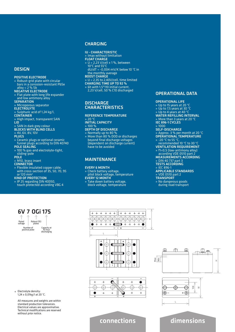### **DESIGN**

## positive electrode

- » Robust-grid plate with circular bars in a corrosion-resistant PbSe  $\overline{$ alloy < 2% Sb negative electrode
- » Flat plate with long life expander and low antimony alloy
- **SEPARATION**
- » Microporous separator electrolyte
- » Sulphuric acid of 1,24 kg/l,
- **CONTAINER**
- » High impact, transparent SAN lid
- » SAN in dark grey colour
- **BLOCKS WITH BLIND CEL**
- » 4V, 6V, 8V, 10V **PLUGS**
- 
- » Ceramic plugs or optional ceramic funnel plugs according to DIN 40740 pole sealing
- » 100 % gas-and electrolyte-tight, sliding-pole<br>POLE
- 
- » M10, brass insert
- **CONNECTOR**
- » Flexible insulated copper cable, with cross-section of 35, 50, 70, 95 or 120 mm<sup>2</sup>

#### kind of protection

» IP 25 regarding DIN 40050, touch protected according VBG 4

## **CHARGING**

- IU characteristic
- » Imax without limitation
- float charge
- $\overline{v}$  = 2,23 V/cell ± 1%, between 10°C and 55°C
- dU/dT = -0,004 mV/K below 10 °C in the monthly average
- boost charge
- » U = 2,35 to 2,40V/cell, time limited
- charging time up to 92 % » 6h with 1,5\*I10 initial current,
- 2,23 V/cell, 50 % C10 discharged

## **DISCHARGE CHARACTERISTICS**

#### reference temperature  $\boldsymbol{\mathsf{p}}$  20

initial capacity » 100 %

- depth of discharge
- » Normally up to 80 % » More than 80 % DOD or discharges beyond final discharge voltages (dependent on discharge current) have to be avoided

## Maintenance

#### every 6 month

» Check battery voltage, pilot block voltage, temperature **EVERY 12 MONTH** 

> $^{+}$  $\pm$  $\overline{+}$

» Take down battery voltage,

 $\ddot{+}$  $^{+}$ 

 $\overline{+}$ 

block voltage, temperature

## Operational data

#### operational life

- » Up to 15 years at 20 °C
- » Up to 7,5 years at 30 °C
- » Up to 4 years at 40 °C
- WATER REFILLING INTERVAL
- » More than 3 years at 20 °C IEC 896-1 cycles
- » 1000
- self-discharge
- » Approx. 3 % per month at 20 °C
- operational temperature » -20 °C to 55 °C,
- recommended 10 °C to 30 °C
- ventilation requirement
- » f1=0,5 (low-antimony alloy) according VDE 0510 part 2
- measurements according
- » DIN 40 737 part 3 tests according
- » IEC 896-1
- applicable standards
- » VDE 0510 part 2

H

- transport
- » No dangerous goods during road transport



송송송송 송송송송송  $\overline{+}$  $+$  $+$  $+$ n  $\overline{+}$  $\overline{+}$  $\ddot{+}$  $+$  $\bullet$ L Ġ Ċ Ċ Ġ

 $\overline{+}$  $+$  $^{+}$  $\ddot{+}$  $\ddot{+}$ 







Electrolyte density: 1,24 ± 0,01kg/l at 20 °C.

All measures and weights are within standard production tolerances. Electrical values are approximative. Technical modifications are reserved without prior notice.

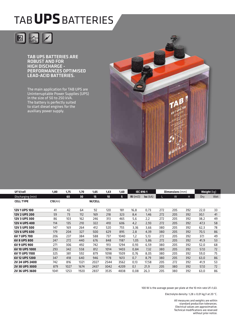# tab**UPS**Batteries



**TAB UPS BATTERIES ARE** robust and for high discharge performances optimised lead-acid batteries.

The main application for TAB UPS are Uninterruptable Power Supplies (UPS) in the size of 50 to 250 kVA. The battery is perfectly suited to start diesel engines for the auxiliary power supply.



| Uf V/cell             | 1,80    | 1,75 | 1,70 | 1,65          | 1,63 | 1,60 | <b>IEC 896-1</b>             |            | <b>Dimensions</b> (mm) |     |     | <b>Weight (kg)</b> |     |
|-----------------------|---------|------|------|---------------|------|------|------------------------------|------------|------------------------|-----|-----|--------------------|-----|
| Discharging (min)     |         | 60   | 30   | 15            | 10   | 5    | $\mathbf{R}$ i (m $\Omega$ ) | $Isc (kA)$ |                        | W   | H   | Dry                | Wet |
| <b>CELL TYPE</b>      | C10(Ah) |      |      | <b>W/CELL</b> |      |      |                              |            |                        |     |     |                    |     |
|                       |         |      |      |               |      |      |                              |            |                        |     |     |                    |     |
| 12V 1 UPS 100         | 41      | 42   | 64   | 92            | 120  | 181  | 16,8                         | 0,73       | 272                    | 205 | 392 | 22,0               | 33  |
| <b>12V 2 UPS 200</b>  | 59      | 73   | 112  | 169           | 218  | 323  | 8,4                          | 1,46       | 272                    | 205 | 392 | 30,1               | 41  |
| <b>12V 3 UPS 300</b>  | 86      | 103  | 162  | 246           | 313  | 465  | 5,6                          | 2,2        | 272                    | 205 | 392 | 38,2               | 49  |
| <b>12V 4 UPS 400</b>  | 114     | 135  | 210  | 322           | 410  | 606  | 4,2                          | 2,93       | 272                    | 205 | 392 | 47,3               | 58  |
| <b>12V 5 UPS 500</b>  | 147     | 169  | 264  | 412           | 520  | 755  | 3,36                         | 3,66       | 380                    | 205 | 392 | 62,3               | 78  |
| <b>12V 6 UPS 600</b>  | 179     | 204  | 327  | 500           | 629  | 895  | 2,8                          | 4,39       | 380                    | 205 | 392 | 70,5               | 86  |
| 6V 7 UPS 700          | 206     | 237  | 384  | 588           | 737  | 1040 | 1,2                          | 5,13       | 272                    | 205 | 392 | 37,1               | 49  |
| <b>6V 8 UPS 800</b>   | 247     | 272  | 440  | 676           | 848  | 1187 | 1,05                         | 5,86       | 272                    | 205 | 392 | 41,9               | 53  |
| 6V 9 UPS 900          | 271     | 306  | 492  | 742           | 913  | 1294 | 0,93                         | 6,59       | 380                    | 205 | 392 | 52,0               | 68  |
| 6V 10 UPS 1000        | 293     | 342  | 558  | 812           | 1014 | 1403 | 0,84                         | 7,32       | 380                    | 205 | 392 | 57,0               | 72  |
| 6V 11 UPS 1100        | 325     | 381  | 592  | 879           | 1098 | 1509 | 0.76                         | 8.05       | 380                    | 205 | 392 | 59.0               | 75  |
| 6V 12 UPS 1200        | 347     | 418  | 640  | 946           | 1178 | 1613 | 0.7                          | 8,79       | 380                    | 205 | 392 | 63,0               | 86  |
| <b>2V 24 UPS 2400</b> | 742     | 816  | 1321 | 2027          | 2544 | 3562 | 0,13                         | 17,58      | 205                    | 272 | 392 | 41,9               | 53  |
| <b>2V 30 UPS 3000</b> | 879     | 1027 | 1674 | 2437          | 3042 | 4209 | 0,1                          | 21,9       | 205                    | 380 | 392 | 57,0               | 72  |
| <b>2V 36 UPS 3600</b> | 1041    | 1253 | 1920 | 2837          | 3535 | 4838 | 0,08                         | 26,3       | 205                    | 380 | 392 | 63,0               | 86  |

100 W is the average power per plate at the 10 min rate Uf=1,63.

Electrolyte density: 1,28 ± 0,01 kg/l at 20 °C.

All measures and weights are within standard production tolerances. Electrical values are approximative. Technical modifications are reserved without prior notice.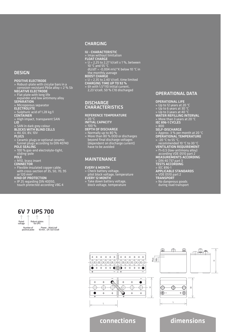## **DESIGN**

#### positive electrode

- » Robust-plate with circular bars in a corrosion-resistant PbSe alloy < 2 % Sb negative electrode
- » Flat plate with long life
- expander and low antimony alloy **SEPARATION**
- » Microporous separator
- electrolyte
- » Sulphuric acid of 1,28 kg/l
- **CONTAINER**
- » High impact, transparent SAN lid
- » SAN in dark grey colour
- **BLOCKS WITH BLIND CEL**
- » 4V, 6V, 8V, 10V
- plugs
- » Ceramic plugs or optional ceramic funnel plugs according to DIN 40740
- pole sealing » 100 % gas-and electrolyte-tight,
- sliding-pole
- pole
- » M10, brass insert
- **CONNECTOR**
- » Flexible insulated copper cable, with cross-section of 35, 50, 70, 95

#### or 120  $mm<sup>2</sup>$ kind of protection

- » IP 25 regarding DIN 40050,
- touch protected according VBG 4

## **CHARGING**

- IU characteristic
- » Imax without limitation
- float charge
- » U = 2,25 to 2,27 V/cell ± 1 %, between 10 °C and 55 °C
- dU/dT = -0,004 mV/°K below 10 °C in the monthly average
- boost charge
- » U = 2,35 to 2,40 V/cell, time limited
- charging time up to 92 %
- » 6h with 1,5\*I10 initial current, 2,23 V/cell, 50 % C10 discharged

## **DISCHARGE CHARACTERISTICS**

reference temperature  $\frac{1}{2}$  20 °C initial capacity » 100 %<br>DEPTH OF DISCHARGE **DEPTH OF DISCHARGE**<br>» Normally up to 80 %

- 
- » More than 80 % DOD or discharges beyond final discharge voltages (dependent on discharge current) have to be avoided

### **MAINTENANCE**

#### every 6 month

- » Check battery voltage, pilot block voltage, temperature
- every 12 month
- » Take down battery voltage, block voltage, temperature

## Operational data

#### operational life

- » Up to 12 years at 20 °C
- » Up to 6 years at 30 °C
- » Up to 3 years at 40 °C
- water refilling interval
- » More than 3 years at 20 °C
- IEC 896-1 cycles
- » 800
- self-discharge
- » Approx. 3 % per month at 20 °C
- operational temperature
- » -20 °C to 55 °C,
- recommended 10 °C to 30 °C ventilation requirement
- » f1=0,5 (low-antimony alloy)
- according VDE 0510 part 2 measurements according
- » DIN 40 737 part 3
- tests according
- » IEC 896-1
- applicable standards
- » VDE 0510 part 2
- transport
- » No dangerous goods during road transport





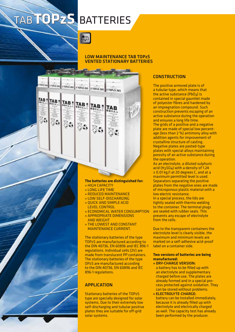# tab**TOPzS** Batteries

3 TOP25 265 3 TOP25 265 3 TOP25 265 3 TOP25 265 3 TOP25 265 3 TOP25 265

TAB<sub>n</sub>

TAB

TAB<sup>\*</sup>

Ā.

TAB<sub>N</sub>

**Des** 

TAB<sub>n</sub>

Xa

## Low maintenance TAB TOPzS vented stationary batteries

## **The batteries are distinguished for:**

- » high capacity
- » long life time
- » reduced maintenance
- » low self-discharging
- » quick and simple acid level control
- » economical water consumption
- » appropriate dimensions and weight
- » the lowest and constant maintenance current.

The stationary batteries of the type TOPzS are manufactured according to the DIN 40736, EN 60896 and IEC 896-1 regulations. Individual cells (2V) are made from translucent PP containers. The stationary batteries of the type OPzS are manufactured according to the DIN 40736, EN 60896 and IEC 896-1 regulations.

## **APPLICATION**

Stationary batteries of the TOPzS type are specially designed for solar systems. Due to their extremely low self-discharging and tubular positive plates they are suitable for off-grid solar systems.

## **CONSTRUCTION**

The positive armored plate is of a tubular type, which means that the active substance (PbO<sub>2</sub>) is contained in special gauntlet made of polyester fibres and hardened by an impregnation compound. Such construction prevents escaping of an active substance during the operation and ensures a long life time. The grids of a positive and a negative plate are made of special low percentage (less than 2 %) antimony alloy with addition agents for improvement of crystalline structure of casting. Negative plates are pasted-type plates with special alloys maintaining porosity of an active substance during the operation.

As an electrolyte, a diluted sulphuric acid (H2SO4) with a density of 1.24 ± 0.01 kg/l at 20 degrees C, and at a maximum permitted level is used. Separators separating the positive plates from the negative ones are made of microporous plastic material with a low electric resistance. In a special process, the lids are tightly sealed with thermo welding to the container. The terminal plugs are sealed with rubber seals. This prevents any escape of electrolyte from the cells.

Due to the transparent containers the electrolyte level is clearly visible, the maximum and minimum levels are marked on a self-adhesive acid-proof label on a container side.

## **Two versions of batteries are being manufactured:**

- » Dry-charge version: a battery has to be filled up with an electrolyte and supplementary charged before use. The plates are already formed and in a special process protected against oxidation. They can be stored without problems.
- » Electrolyte-charge: battery can be installed immediately, because it is already filled up with electrolyte and electrically charged as well. The capacity test has already been performed by the producer.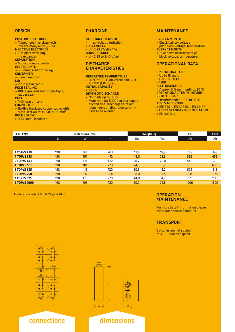#### **DESIGN**

#### positive electrode

- » Tubular positive plate with low antimony alloy (<2 %) negative electrode
- » Flat plate with long
- life expander
- **SEPARATION** » Microporous separator
- **ELECTROLYTE**
- » Sulphuric acid of 1,24 kg/l
- **CONTAINER**
- » Transparent PP
- lid
- » PP in green colour
- pole sealing
- » 100 % gas-and electrolyte-tight, rubber seal
- **POLE**
- » M10, brass insert
- **CONNECTOR**
- » flexible insulated copper cable, with cross-section of 35, 50, or 70  $\text{mm}^2$
- 
- pole screw » M10, steel, insulated

#### **CHARGING**

IU - characteristic » Imax without limitation Float voltage » U = 2,23 V/cell ± 1 % **BOOST CHARGE** » U = 2,35 to 2,40 V/cell

### **DISCHARGE CHARACTERISTICS**

#### reference temperature

» 20 °C at C10 (1,80 V/cell) and 25 °C at C100 (1,85 V/cell)

initial capacity  $\sqrt{100}$ 

- depth of discharge
- » Normally up to 80 %
- » More than 80 % DOD or discharges beyond final discharge voltages (dependent on discharge current) have to be avoided

### **MAINTENANCE**

#### every 6 month

» Check battery voltage pilot block voltage, temperature **EVERY 12 MONTH** » Take down battery voltage block voltage, temperature

### Operational data

operational life » Up to 15 years IEC 896-1 cycles » 1200<br>**SELF-DISCHARGE** » Approx. 3 % per month at 20 °C OPERATIONAL TEMPERATURE » -20 °C to 55 °C, recommended 10 °C to 30 °C tests according » IEC 896-1, EN 60896-1, EN 61427

- safety standard, ventilation
- » EN 50272-2

| <b>CELL TYPE</b> |     | <b>Dimensions</b> (mm) |     |      | Weight (kg) | C10  | C <sub>100</sub> |
|------------------|-----|------------------------|-----|------|-------------|------|------------------|
|                  | L   | W                      |     | Dry  | Wet         | Ah   | Ah               |
|                  |     |                        |     |      |             |      |                  |
|                  |     |                        |     |      |             |      |                  |
| 3 TOPzS 265      | 198 | 83                     | 472 | 12,4 | 18,4        | 265  | 345              |
| 4 TOPzS 353      | 198 | 101                    | 472 | 16,0 | 23,3        | 353  | 458              |
| 5 TOPzS 442      | 198 | 119                    | 472 | 20,2 | 29,0        | 442  | 575              |
| 4 TOPzS 500      | 198 | 101                    | 720 | 24,3 | 35,2        | 500  | 650              |
| 5 TOPzS 625      | 198 | 119                    | 720 | 30,3 | 43,2        | 625  | 812              |
| 6 TOPzS 750      | 198 | 137                    | 720 | 38,0 | 53,5        | 750  | 975              |
| 7 TOPzS 875      | 198 | 173                    | 720 | 44.0 | 64,2        | 875  | 1137             |
| 8 TOPzS 1000     | 198 | 191                    | 720 | 50,2 | 72,5        | 1000 | 1300             |
|                  |     |                        |     |      |             |      |                  |

Electrolyte density: 1,24 ± 0,01kg/l at 20 °C.

#### Operation-**MAINTENANCE**

For more detail information please check our operation manual.

### **TRANSPORT**

Batteries are not subject to ADR (road transport).





## connections dimensions